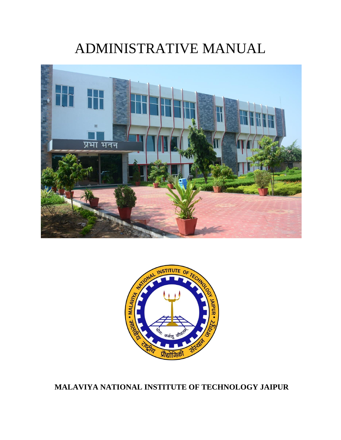# ADMINISTRATIVE MANUAL





**MALAVIYA NATIONAL INSTITUTE OF TECHNOLOGY JAIPUR**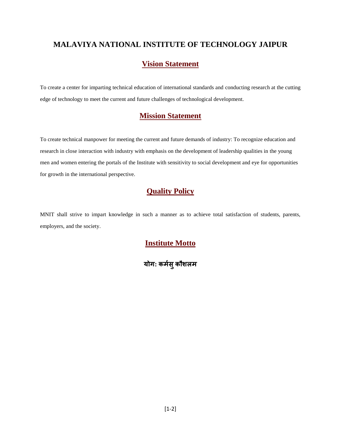#### **MALAVIYA NATIONAL INSTITUTE OF TECHNOLOGY JAIPUR**

#### **Vision Statement**

To create a center for imparting technical education of international standards and conducting research at the cutting edge of technology to meet the current and future challenges of technological development.

#### **Mission Statement**

To create technical manpower for meeting the current and future demands of industry: To recognize education and research in close interaction with industry with emphasis on the development of leadership qualities in the young men and women entering the portals of the Institute with sensitivity to social development and eye for opportunities for growth in the international perspective.

#### **Quality Policy**

MNIT shall strive to impart knowledge in such a manner as to achieve total satisfaction of students, parents, employers, and the society.

### **Institute Motto**

#### **योग: कर्सम ुकौशलर्**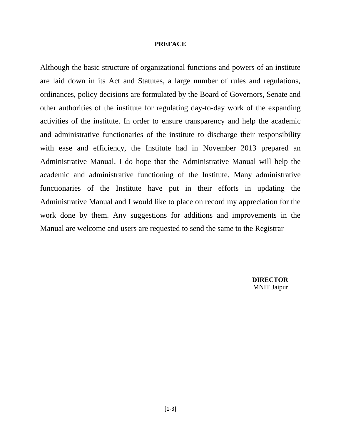#### **PREFACE**

Although the basic structure of organizational functions and powers of an institute are laid down in its Act and Statutes, a large number of rules and regulations, ordinances, policy decisions are formulated by the Board of Governors, Senate and other authorities of the institute for regulating day-to-day work of the expanding activities of the institute. In order to ensure transparency and help the academic and administrative functionaries of the institute to discharge their responsibility with ease and efficiency, the Institute had in November 2013 prepared an Administrative Manual. I do hope that the Administrative Manual will help the academic and administrative functioning of the Institute. Many administrative functionaries of the Institute have put in their efforts in updating the Administrative Manual and I would like to place on record my appreciation for the work done by them. Any suggestions for additions and improvements in the Manual are welcome and users are requested to send the same to the Registrar

> **DIRECTOR** MNIT Jaipur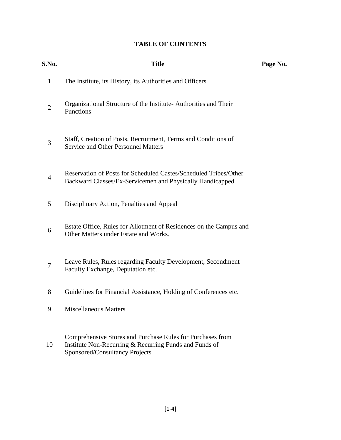#### **TABLE OF CONTENTS**

| S.No.          | <b>Title</b>                                                                                                                                           | Page No. |
|----------------|--------------------------------------------------------------------------------------------------------------------------------------------------------|----------|
| $\mathbf{1}$   | The Institute, its History, its Authorities and Officers                                                                                               |          |
| $\overline{2}$ | Organizational Structure of the Institute-Authorities and Their<br><b>Functions</b>                                                                    |          |
| 3              | Staff, Creation of Posts, Recruitment, Terms and Conditions of<br>Service and Other Personnel Matters                                                  |          |
| $\overline{4}$ | Reservation of Posts for Scheduled Castes/Scheduled Tribes/Other<br>Backward Classes/Ex-Servicemen and Physically Handicapped                          |          |
| 5              | Disciplinary Action, Penalties and Appeal                                                                                                              |          |
| 6              | Estate Office, Rules for Allotment of Residences on the Campus and<br>Other Matters under Estate and Works.                                            |          |
| 7              | Leave Rules, Rules regarding Faculty Development, Secondment<br>Faculty Exchange, Deputation etc.                                                      |          |
| 8              | Guidelines for Financial Assistance, Holding of Conferences etc.                                                                                       |          |
| 9              | <b>Miscellaneous Matters</b>                                                                                                                           |          |
| 10             | Comprehensive Stores and Purchase Rules for Purchases from<br>Institute Non-Recurring & Recurring Funds and Funds of<br>Sponsored/Consultancy Projects |          |